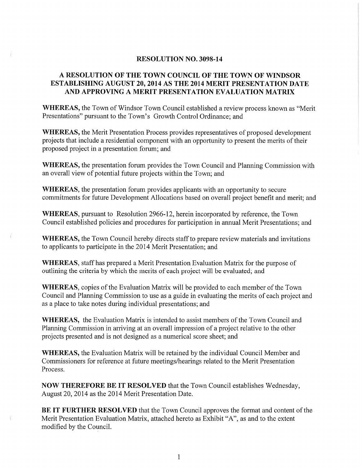#### **RESOLUTION NO. 3098-14**

### A RESOLUTION OF THE TOWN COUNCIL OF THE TOWN OF WINDSOR **ESTABLISHING AUGUST 20, 2014 AS THE 2014 MERIT PRESENTATION DATE** AND APPROVING A MERIT PRESENTATION EVALUATION MATRIX

**WHEREAS, the Town of Windsor Town Council established a review process known as "Merit"** Presentations" pursuant to the Town's Growth Control Ordinance; and

**WHEREAS**, the Merit Presentation Process provides representatives of proposed development projects that include a residential component with an opportunity to present the merits of their proposed project in a presentation forum; and

WHEREAS, the presentation forum provides the Town Council and Planning Commission with an overall view of potential future projects within the Town; and

WHEREAS, the presentation forum provides applicants with an opportunity to secure commitments for future Development Allocations based on overall project benefit and merit; and

**WHEREAS**, pursuant to Resolution 2966-12, herein incorporated by reference, the Town Council established policies and procedures for participation in annual Merit Presentations; and

WHEREAS, the Town Council hereby directs staff to prepare review materials and invitations to applicants to participate in the 2014 Merit Presentation; and

WHEREAS, staff has prepared a Merit Presentation Evaluation Matrix for the purpose of outlining the criteria by which the merits of each project will be evaluated; and

**WHEREAS**, copies of the Evaluation Matrix will be provided to each member of the Town Council and Planning Commission to use as a guide in evaluating the merits of each project and as a place to take notes during individual presentations; and

WHEREAS, the Evaluation Matrix is intended to assist members of the Town Council and Planning Commission in arriving at an overall impression of a project relative to the other projects presented and is not designed as a numerical score sheet; and

**WHEREAS,** the Evaluation Matrix will be retained by the individual Council Member and Commissioners for reference at future meetings/hearings related to the Merit Presentation Process.

**NOW THEREFORE BE IT RESOLVED** that the Town Council establishes Wednesday, August 20, 2014 as the 2014 Merit Presentation Date.

BE IT FURTHER RESOLVED that the Town Council approves the format and content of the Merit Presentation Evaluation Matrix, attached hereto as Exhibit "A", as and to the extent modified by the Council.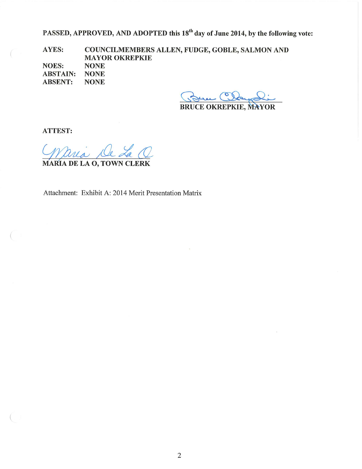PASSED, APPROVED, AND ADOPTED this 18<sup>th</sup> day of June 2014, by the following vote:

AYES: COUNCILMEMBERS ALLEN, FUDGE, GOBLE, SALMON AND **MAYOR OKREPKIE NOES: NONE ABSTAIN: NONE ABSENT: NONE** 

BRUCE OKREPKIE, MAYOR

**ATTEST:** 

MARIA DE LA O, TOWN CLERK

Attachment: Exhibit A: 2014 Merit Presentation Matrix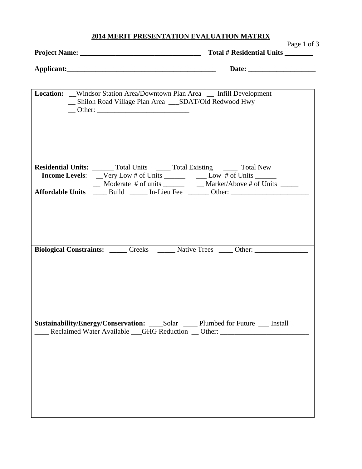# **2014 MERIT PRESENTATION EVALUATION MATRIX**

|                      | 2014 MIENI I NESENTATION EVALUATION MATNIX |                                  |             |
|----------------------|--------------------------------------------|----------------------------------|-------------|
|                      |                                            |                                  | Page 1 of 3 |
| <b>Project Name:</b> |                                            | <b>Total # Residential Units</b> |             |
| Applicant:           |                                            | Date:                            |             |

| Location: _Windsor Station Area/Downtown Plan Area _ Infill Development<br>_ Shiloh Road Village Plan Area __SDAT/Old Redwood Hwy |
|-----------------------------------------------------------------------------------------------------------------------------------|
| Residential Units: ______ Total Units _____ Total Existing _____ Total New                                                        |
|                                                                                                                                   |
|                                                                                                                                   |
| Affordable Units _____ Build ______ In-Lieu Fee _______ Other: __________________                                                 |
| Biological Constraints: ______ Creeks _______ Native Trees _____ Other: _______________                                           |
| Sustainability/Energy/Conservation: ____Solar ____Plumbed for Future ___ Install                                                  |
| _____ Reclaimed Water Available ___GHG Reduction __ Other: ______________________                                                 |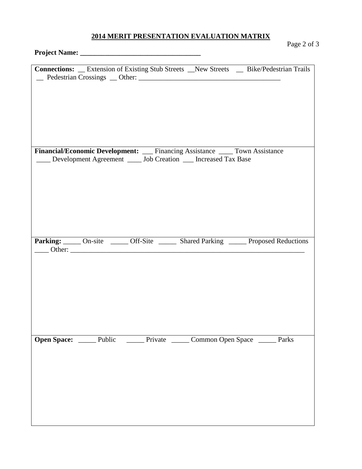## **2014 MERIT PRESENTATION EVALUATION MATRIX**

Page 2 of 3

| <b>Connections:</b> _ Extension of Existing Stub Streets _ New Streets _ Bike/Pedestrian Trails |
|-------------------------------------------------------------------------------------------------|
|                                                                                                 |
|                                                                                                 |
|                                                                                                 |
|                                                                                                 |
|                                                                                                 |
|                                                                                                 |
| Financial/Economic Development: __ Financing Assistance ___ Town Assistance                     |
| ___ Development Agreement ____ Job Creation ___ Increased Tax Base                              |
|                                                                                                 |
|                                                                                                 |
|                                                                                                 |
|                                                                                                 |
|                                                                                                 |
| Parking: _____ On-site ______ Off-Site ______ Shared Parking _____ Proposed Reductions          |
|                                                                                                 |
|                                                                                                 |
|                                                                                                 |
|                                                                                                 |
|                                                                                                 |
|                                                                                                 |
|                                                                                                 |
| Open Space: _______ Public _________ Private _______ Common Open Space _______ Parks            |
|                                                                                                 |
|                                                                                                 |
|                                                                                                 |
|                                                                                                 |
|                                                                                                 |
|                                                                                                 |
|                                                                                                 |